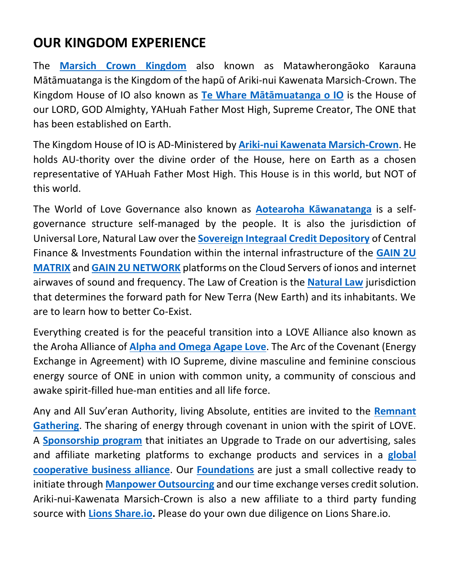## **OUR KINGDOM EXPERIENCE**

The **[Marsich Crown Kingdom](https://marsich-crown-kingdom.weebly.com/)** also known as Matawherongāoko Karauna Mātāmuatanga is the Kingdom of the hapū of Ariki-nui Kawenata Marsich-Crown. The Kingdom House of IO also known as **[Te Whare Mātāmuatanga o IO](https://return-to-eden.weebly.com/)** is the House of our LORD, GOD Almighty, YAHuah Father Most High, Supreme Creator, The ONE that has been established on Earth.

The Kingdom House of IO is AD-Ministered by **[Ariki-nui Kawenata Marsich-Crown](https://gavinmarsich.weebly.com/)**. He holds AU-thority over the divine order of the House, here on Earth as a chosen representative of YAHuah Father Most High. This House is in this world, but NOT of this world.

The World of Love Governance also known as **[Aotearoha Kāwanatanga](https://aotearoha-kawanatanga.weebly.com/)** is a selfgovernance structure self-managed by the people. It is also the jurisdiction of Universal Lore, Natural Law over the **[Sovereign Integraal Credit Depository](https://cfiltd.weebly.com/sovereign-integraal-credit-depository.html)** of Central Finance & Investments Foundation within the internal infrastructure of the **[GAIN 2U](https://gain2umatrix.com/)  [MATRIX](https://gain2umatrix.com/)** and **[GAIN 2U NETWORK](https://gain2unetwork.com/)** platforms on the Cloud Servers of ionos and internet airwaves of sound and frequency. The Law of Creation is the **[Natural Law](https://www.youtube.com/watch?v=7f9391s26eQ&ab_channel=GAIN2UNETWORK)** jurisdiction that determines the forward path for New Terra (New Earth) and its inhabitants. We are to learn how to better Co-Exist.

Everything created is for the peaceful transition into a LOVE Alliance also known as the Aroha Alliance of **[Alpha and Omega Agape Love](https://alpha-omega-agape-love.weebly.com/)**. The Arc of the Covenant (Energy Exchange in Agreement) with IO Supreme, divine masculine and feminine conscious energy source of ONE in union with common unity, a community of conscious and awake spirit-filled hue-man entities and all life force.

Any and All Suv'eran Authority, living Absolute, entities are invited to the **[Remnant](https://www.facebook.com/groups/exodus)  [Gathering](https://www.facebook.com/groups/exodus)**. The sharing of energy through covenant in union with the spirit of LOVE. A **[Sponsorship program](https://play.google.com/store/apps/details?id=com.gain2umatrix)** that initiates an Upgrade to Trade on our advertising, sales and affiliate marketing platforms to exchange products and services in a **[global](https://gain2umatrix.com/business-directory)  [cooperative business alliance](https://gain2umatrix.com/business-directory)**. Our **[Foundations](https://aotearoha-kawanatanga.weebly.com/uploads/1/3/2/7/132755040/foundation_alliances.pdf)** are just a small collective ready to initiate through **[Manpower Outsourcing](https://manpower-outsourcing.weebly.com/)** and our time exchange verses credit solution. Ariki-nui-Kawenata Marsich-Crown is also a new affiliate to a third party funding source with **[Lions Share.io.](https://lionsshare.io/?aid=t66379)** Please do your own due diligence on Lions Share.io.